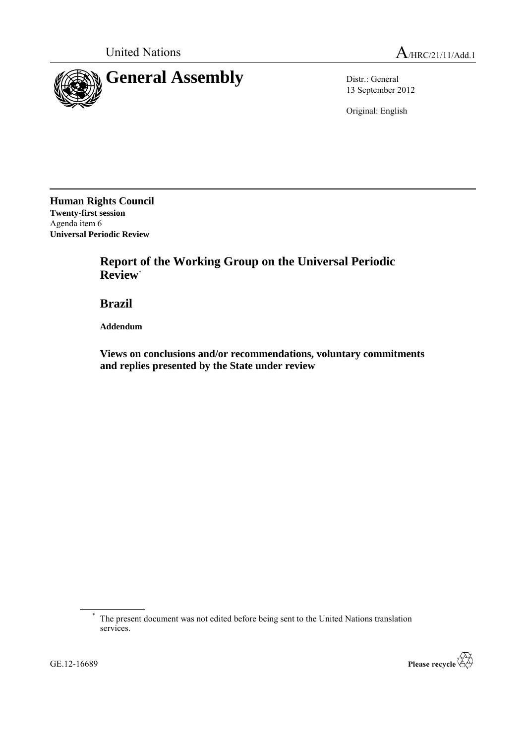

13 September 2012

Original: English

**Human Rights Council Twenty-first session** Agenda item 6 **Universal Periodic Review**

> **Report of the Working Group on the Universal Periodic Review**\*

**Brazil**

**Addendum**

**Views on conclusions and/or recommendations, voluntary commitments and replies presented by the State under review**



<sup>\*</sup> The present document was not edited before being sent to the United Nations translation services.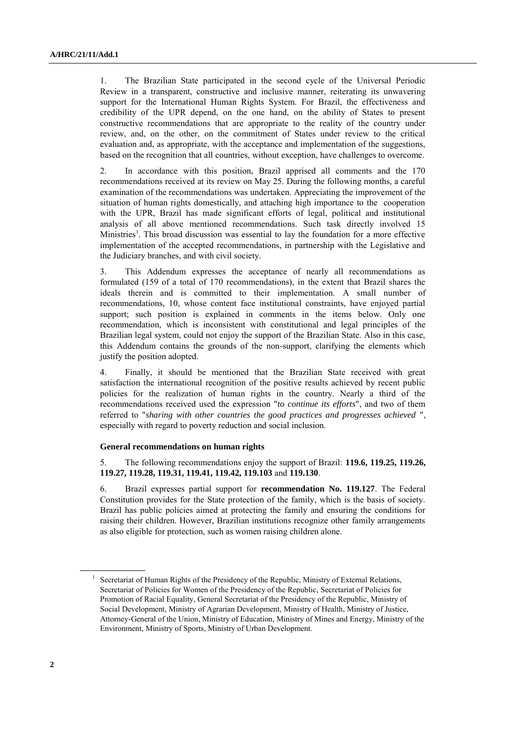1. The Brazilian State participated in the second cycle of the Universal Periodic Review in a transparent, constructive and inclusive manner, reiterating its unwavering support for the International Human Rights System. For Brazil, the effectiveness and credibility of the UPR depend, on the one hand, on the ability of States to present constructive recommendations that are appropriate to the reality of the country under review, and, on the other, on the commitment of States under review to the critical evaluation and, as appropriate, with the acceptance and implementation of the suggestions, based on the recognition that all countries, without exception, have challenges to overcome.

2. In accordance with this position, Brazil apprised all comments and the 170 recommendations received at its review on May 25. During the following months, a careful examination of the recommendations was undertaken. Appreciating the improvement of the situation of human rights domestically, and attaching high importance to the cooperation with the UPR, Brazil has made significant efforts of legal, political and institutional analysis of all above mentioned recommendations. Such task directly involved 15 Ministries<sup>1</sup>. This broad discussion was essential to lay the foundation for a more effective implementation of the accepted recommendations, in partnership with the Legislative and the Judiciary branches, and with civil society.

3. This Addendum expresses the acceptance of nearly all recommendations as formulated (159 of a total of 170 recommendations), in the extent that Brazil shares the ideals therein and is committed to their implementation. A small number of recommendations, 10, whose content face institutional constraints, have enjoyed partial support; such position is explained in comments in the items below. Only one recommendation, which is inconsistent with constitutional and legal principles of the Brazilian legal system, could not enjoy the support of the Brazilian State. Also in this case, this Addendum contains the grounds of the non-support, clarifying the elements which justify the position adopted.

4. Finally, it should be mentioned that the Brazilian State received with great satisfaction the international recognition of the positive results achieved by recent public policies for the realization of human rights in the country. Nearly a third of the recommendations received used the expression "*to continue its efforts*", and two of them referred to "*sharing with other countries the good practices and progresses achieved* ", especially with regard to poverty reduction and social inclusion.

# **General recommendations on human rights**

5. The following recommendations enjoy the support of Brazil: **119.6, 119.25, 119.26, 119.27, 119.28, 119.31, 119.41, 119.42, 119.103** and **119.130**.

6. Brazil expresses partial support for **recommendation No. 119.127**. The Federal Constitution provides for the State protection of the family, which is the basis of society. Brazil has public policies aimed at protecting the family and ensuring the conditions for raising their children. However, Brazilian institutions recognize other family arrangements as also eligible for protection, such as women raising children alone.

<sup>1</sup> Secretariat of Human Rights of the Presidency of the Republic, Ministry of External Relations, Secretariat of Policies for Women of the Presidency of the Republic, Secretariat of Policies for Promotion of Racial Equality, General Secretariat of the Presidency of the Republic, Ministry of Social Development, Ministry of Agrarian Development, Ministry of Health, Ministry of Justice, Attorney-General of the Union, Ministry of Education, Ministry of Mines and Energy, Ministry of the Environment, Ministry of Sports, Ministry of Urban Development.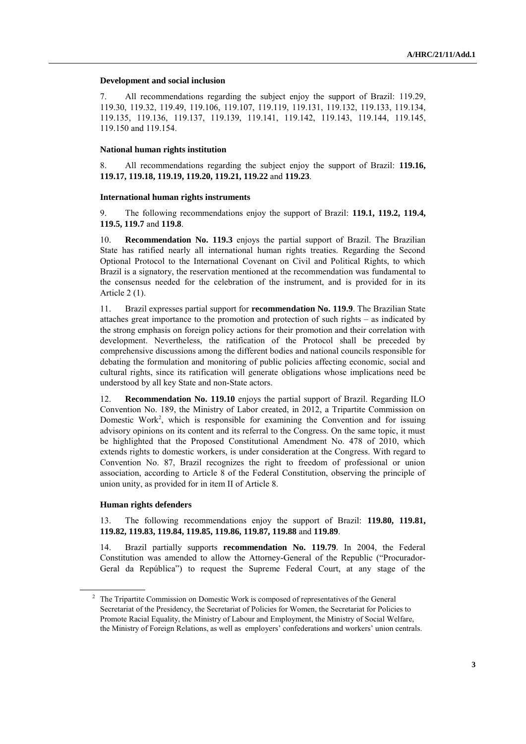### **Development and social inclusion**

7. All recommendations regarding the subject enjoy the support of Brazil: 119.29, 119.30, 119.32, 119.49, 119.106, 119.107, 119.119, 119.131, 119.132, 119.133, 119.134, 119.135, 119.136, 119.137, 119.139, 119.141, 119.142, 119.143, 119.144, 119.145, 119.150 and 119.154.

# **National human rights institution**

8. All recommendations regarding the subject enjoy the support of Brazil: **119.16, 119.17, 119.18, 119.19, 119.20, 119.21, 119.22** and **119.23**.

### **International human rights instruments**

9. The following recommendations enjoy the support of Brazil: **119.1, 119.2, 119.4, 119.5, 119.7** and **119.8**.

10. **Recommendation No. 119.3** enjoys the partial support of Brazil. The Brazilian State has ratified nearly all international human rights treaties. Regarding the Second Optional Protocol to the International Covenant on Civil and Political Rights, to which Brazil is a signatory, the reservation mentioned at the recommendation was fundamental to the consensus needed for the celebration of the instrument, and is provided for in its Article 2 (1).

11. Brazil expresses partial support for **recommendation No. 119.9**. The Brazilian State attaches great importance to the promotion and protection of such rights – as indicated by the strong emphasis on foreign policy actions for their promotion and their correlation with development. Nevertheless, the ratification of the Protocol shall be preceded by comprehensive discussions among the different bodies and national councils responsible for debating the formulation and monitoring of public policies affecting economic, social and cultural rights, since its ratification will generate obligations whose implications need be understood by all key State and non-State actors.

12. **Recommendation No. 119.10** enjoys the partial support of Brazil. Regarding ILO Convention No. 189, the Ministry of Labor created, in 2012, a Tripartite Commission on Domestic Work<sup>2</sup>, which is responsible for examining the Convention and for issuing advisory opinions on its content and its referral to the Congress. On the same topic, it must be highlighted that the Proposed Constitutional Amendment No. 478 of 2010, which extends rights to domestic workers, is under consideration at the Congress. With regard to Convention No. 87, Brazil recognizes the right to freedom of professional or union association, according to Article 8 of the Federal Constitution, observing the principle of union unity, as provided for in item II of Article 8.

# **Human rights defenders**

13. The following recommendations enjoy the support of Brazil: **119.80, 119.81, 119.82, 119.83, 119.84, 119.85, 119.86, 119.87, 119.88** and **119.89**.

14. Brazil partially supports **recommendation No. 119.79**. In 2004, the Federal Constitution was amended to allow the Attorney-General of the Republic ("Procurador-Geral da República") to request the Supreme Federal Court, at any stage of the

<sup>&</sup>lt;sup>2</sup> The Tripartite Commission on Domestic Work is composed of representatives of the General Secretariat of the Presidency, the Secretariat of Policies for Women, the Secretariat for Policies to Promote Racial Equality, the Ministry of Labour and Employment, the Ministry of Social Welfare, the Ministry of Foreign Relations, as well as employers' confederations and workers' union centrals.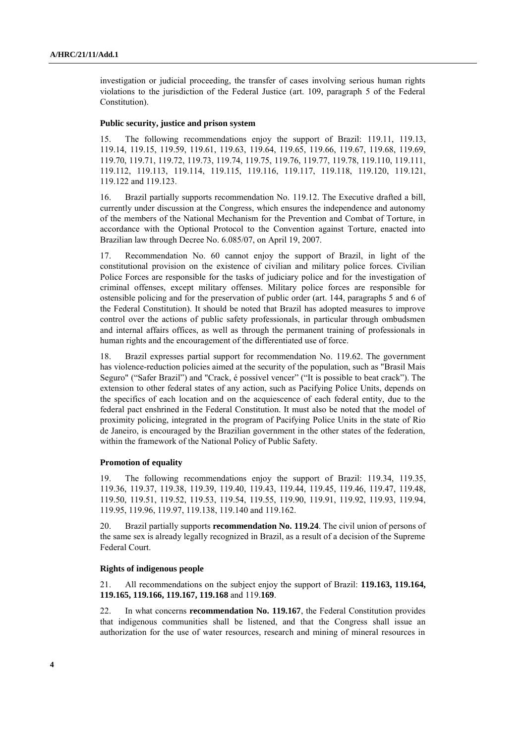investigation or judicial proceeding, the transfer of cases involving serious human rights violations to the jurisdiction of the Federal Justice (art. 109, paragraph 5 of the Federal Constitution).

### **Public security, justice and prison system**

15. The following recommendations enjoy the support of Brazil: 119.11, 119.13, 119.14, 119.15, 119.59, 119.61, 119.63, 119.64, 119.65, 119.66, 119.67, 119.68, 119.69, 119.70, 119.71, 119.72, 119.73, 119.74, 119.75, 119.76, 119.77, 119.78, 119.110, 119.111, 119.112, 119.113, 119.114, 119.115, 119.116, 119.117, 119.118, 119.120, 119.121, 119.122 and 119.123.

16. Brazil partially supports recommendation No. 119.12. The Executive drafted a bill, currently under discussion at the Congress, which ensures the independence and autonomy of the members of the National Mechanism for the Prevention and Combat of Torture, in accordance with the Optional Protocol to the Convention against Torture, enacted into Brazilian law through Decree No. 6.085/07, on April 19, 2007.

17. Recommendation No. 60 cannot enjoy the support of Brazil, in light of the constitutional provision on the existence of civilian and military police forces. Civilian Police Forces are responsible for the tasks of judiciary police and for the investigation of criminal offenses, except military offenses. Military police forces are responsible for ostensible policing and for the preservation of public order (art. 144, paragraphs 5 and 6 of the Federal Constitution). It should be noted that Brazil has adopted measures to improve control over the actions of public safety professionals, in particular through ombudsmen and internal affairs offices, as well as through the permanent training of professionals in human rights and the encouragement of the differentiated use of force.

18. Brazil expresses partial support for recommendation No. 119.62. The government has violence-reduction policies aimed at the security of the population, such as "Brasil Mais Seguro" ("Safer Brazil") and "Crack, é possível vencer" ("It is possible to beat crack"). The extension to other federal states of any action, such as Pacifying Police Units, depends on the specifics of each location and on the acquiescence of each federal entity, due to the federal pact enshrined in the Federal Constitution. It must also be noted that the model of proximity policing, integrated in the program of Pacifying Police Units in the state of Rio de Janeiro, is encouraged by the Brazilian government in the other states of the federation, within the framework of the National Policy of Public Safety.

# **Promotion of equality**

19. The following recommendations enjoy the support of Brazil: 119.34, 119.35, 119.36, 119.37, 119.38, 119.39, 119.40, 119.43, 119.44, 119.45, 119.46, 119.47, 119.48, 119.50, 119.51, 119.52, 119.53, 119.54, 119.55, 119.90, 119.91, 119.92, 119.93, 119.94, 119.95, 119.96, 119.97, 119.138, 119.140 and 119.162.

20. Brazil partially supports **recommendation No. 119.24**. The civil union of persons of the same sex is already legally recognized in Brazil, as a result of a decision of the Supreme Federal Court.

#### **Rights of indigenous people**

21. All recommendations on the subject enjoy the support of Brazil: **119.163, 119.164, 119.165, 119.166, 119.167, 119.168** and 119.**169**.

22. In what concerns **recommendation No. 119.167**, the Federal Constitution provides that indigenous communities shall be listened, and that the Congress shall issue an authorization for the use of water resources, research and mining of mineral resources in